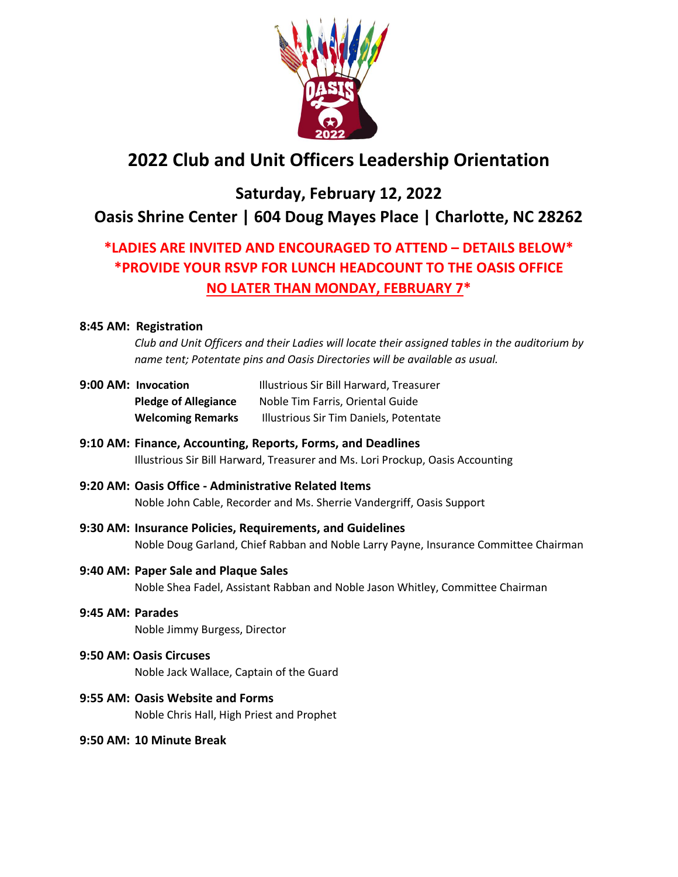

# **2022 Club and Unit Officers Leadership Orientation**

## **Saturday, February 12, 2022 Oasis Shrine Center | 604 Doug Mayes Place | Charlotte, NC 28262**

## **\*LADIES ARE INVITED AND ENCOURAGED TO ATTEND – DETAILS BELOW\* \*PROVIDE YOUR RSVP FOR LUNCH HEADCOUNT TO THE OASIS OFFICE NO LATER THAN MONDAY, FEBRUARY 7\***

### **8:45 AM: Registration**

*Club and Unit Officers and their Ladies will locate their assigned tables in the auditorium by name tent; Potentate pins and Oasis Directories will be available as usual.*

- **9:00 AM: Invocation** Illustrious Sir Bill Harward, Treasurer **Pledge of Allegiance** Noble Tim Farris, Oriental Guide **Welcoming Remarks** Illustrious Sir Tim Daniels, Potentate
- **9:10 AM: Finance, Accounting, Reports, Forms, and Deadlines** Illustrious Sir Bill Harward, Treasurer and Ms. Lori Prockup, Oasis Accounting
- **9:20 AM: Oasis Office - Administrative Related Items** Noble John Cable, Recorder and Ms. Sherrie Vandergriff, Oasis Support
- **9:30 AM: Insurance Policies, Requirements, and Guidelines** Noble Doug Garland, Chief Rabban and Noble Larry Payne, Insurance Committee Chairman
- **9:40 AM: Paper Sale and Plaque Sales** Noble Shea Fadel, Assistant Rabban and Noble Jason Whitley, Committee Chairman
- **9:45 AM: Parades** Noble Jimmy Burgess, Director
- **9:50 AM: Oasis Circuses** Noble Jack Wallace, Captain of the Guard
- **9:55 AM: Oasis Website and Forms** Noble Chris Hall, High Priest and Prophet
- **9:50 AM: 10 Minute Break**